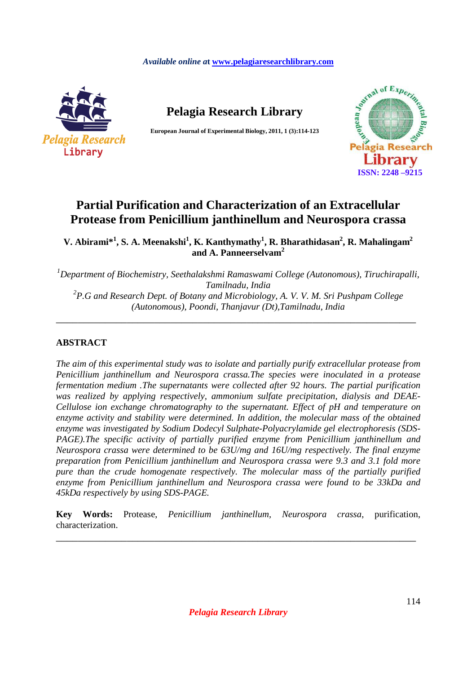#### *Available online a***t www.pelagiaresearchlibrary.com**



**Pelagia Research Library** 

**European Journal of Experimental Biology, 2011, 1 (3):114-123** 



# **Partial Purification and Characterization of an Extracellular Protease from Penicillium janthinellum and Neurospora crassa**

**V. Abirami\*<sup>1</sup> , S. A. Meenakshi<sup>1</sup> , K. Kanthymathy<sup>1</sup> , R. Bharathidasan<sup>2</sup> , R. Mahalingam<sup>2</sup> and A. Panneerselvam<sup>2</sup>**

*<sup>1</sup>Department of Biochemistry, Seethalakshmi Ramaswami College (Autonomous), Tiruchirapalli, Tamilnadu, India 2 P.G and Research Dept. of Botany and Microbiology, A. V. V. M. Sri Pushpam College (Autonomous), Poondi, Thanjavur (Dt),Tamilnadu, India* 

\_\_\_\_\_\_\_\_\_\_\_\_\_\_\_\_\_\_\_\_\_\_\_\_\_\_\_\_\_\_\_\_\_\_\_\_\_\_\_\_\_\_\_\_\_\_\_\_\_\_\_\_\_\_\_\_\_\_\_\_\_\_\_\_\_\_

# **ABSTRACT**

*The aim of this experimental study was to isolate and partially purify extracellular protease from Penicillium janthinellum and Neurospora crassa.The species were inoculated in a protease fermentation medium .The supernatants were collected after 92 hours. The partial purification was realized by applying respectively, ammonium sulfate precipitation, dialysis and DEAE-Cellulose ion exchange chromatography to the supernatant. Effect of pH and temperature on enzyme activity and stability were determined. In addition, the molecular mass of the obtained enzyme was investigated by Sodium Dodecyl Sulphate-Polyacrylamide gel electrophoresis (SDS-PAGE).The specific activity of partially purified enzyme from Penicillium janthinellum and Neurospora crassa were determined to be 63U/mg and 16U/mg respectively. The final enzyme preparation from Penicillium janthinellum and Neurospora crassa were 9.3 and 3.1 fold more pure than the crude homogenate respectively. The molecular mass of the partially purified enzyme from Penicillium janthinellum and Neurospora crassa were found to be 33kDa and 45kDa respectively by using SDS-PAGE.* 

**Key Words:** Protease, *Penicillium janthinellum, Neurospora crassa*, purification, characterization.

\_\_\_\_\_\_\_\_\_\_\_\_\_\_\_\_\_\_\_\_\_\_\_\_\_\_\_\_\_\_\_\_\_\_\_\_\_\_\_\_\_\_\_\_\_\_\_\_\_\_\_\_\_\_\_\_\_\_\_\_\_\_\_\_\_\_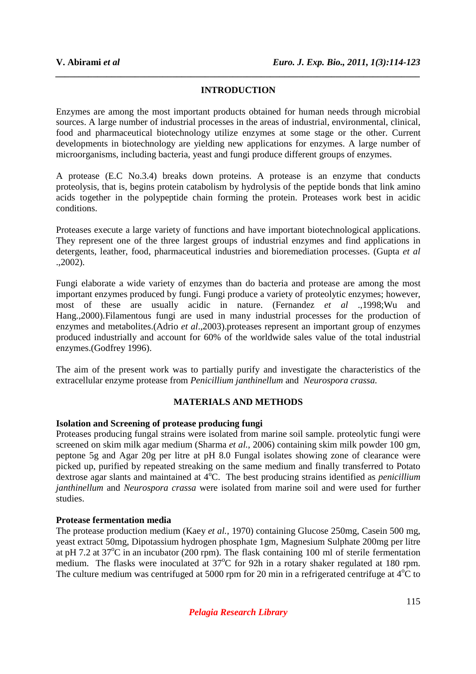# **INTRODUCTION**

*\_\_\_\_\_\_\_\_\_\_\_\_\_\_\_\_\_\_\_\_\_\_\_\_\_\_\_\_\_\_\_\_\_\_\_\_\_\_\_\_\_\_\_\_\_\_\_\_\_\_\_\_\_\_\_\_\_\_\_\_\_\_\_\_\_\_\_\_\_\_\_\_\_\_\_\_\_\_*

Enzymes are among the most important products obtained for human needs through microbial sources. A large number of industrial processes in the areas of industrial, environmental, clinical, food and pharmaceutical biotechnology utilize enzymes at some stage or the other. Current developments in biotechnology are yielding new applications for enzymes. A large number of microorganisms, including bacteria, yeast and fungi produce different groups of enzymes.

A protease (E.C No.3.4) breaks down proteins. A protease is an enzyme that conducts proteolysis, that is, begins protein catabolism by hydrolysis of the peptide bonds that link amino acids together in the polypeptide chain forming the protein. Proteases work best in acidic conditions.

Proteases execute a large variety of functions and have important biotechnological applications. They represent one of the three largest groups of industrial enzymes and find applications in detergents, leather, food, pharmaceutical industries and bioremediation processes. (Gupta *et al* .,2002).

Fungi elaborate a wide variety of enzymes than do bacteria and protease are among the most important enzymes produced by fungi. Fungi produce a variety of proteolytic enzymes; however, most of these are usually acidic in nature. (Fernandez *et al* .,1998;Wu and Hang.,2000).Filamentous fungi are used in many industrial processes for the production of enzymes and metabolites.(Adrio *et al*.,2003).proteases represent an important group of enzymes produced industrially and account for 60% of the worldwide sales value of the total industrial enzymes.(Godfrey 1996).

The aim of the present work was to partially purify and investigate the characteristics of the extracellular enzyme protease from *Penicillium janthinellum* and *Neurospora crassa.* 

### **MATERIALS AND METHODS**

### **Isolation and Screening of protease producing fungi**

Proteases producing fungal strains were isolated from marine soil sample. proteolytic fungi were screened on skim milk agar medium (Sharma *et al.,* 2006) containing skim milk powder 100 gm, peptone 5g and Agar 20g per litre at pH 8.0 Fungal isolates showing zone of clearance were picked up, purified by repeated streaking on the same medium and finally transferred to Potato dextrose agar slants and maintained at 4<sup>o</sup>C. The best producing strains identified as *penicillium janthinellum* and *Neurospora crassa* were isolated from marine soil and were used for further studies.

### **Protease fermentation media**

The protease production medium (Kaey *et al.,* 1970) containing Glucose 250mg, Casein 500 mg, yeast extract 50mg, Dipotassium hydrogen phosphate 1gm, Magnesium Sulphate 200mg per litre at pH 7.2 at  $37^{\circ}$ C in an incubator (200 rpm). The flask containing 100 ml of sterile fermentation medium. The flasks were inoculated at 37<sup>o</sup>C for 92h in a rotary shaker regulated at 180 rpm. The culture medium was centrifuged at 5000 rpm for 20 min in a refrigerated centrifuge at  $4^{\circ}C$  to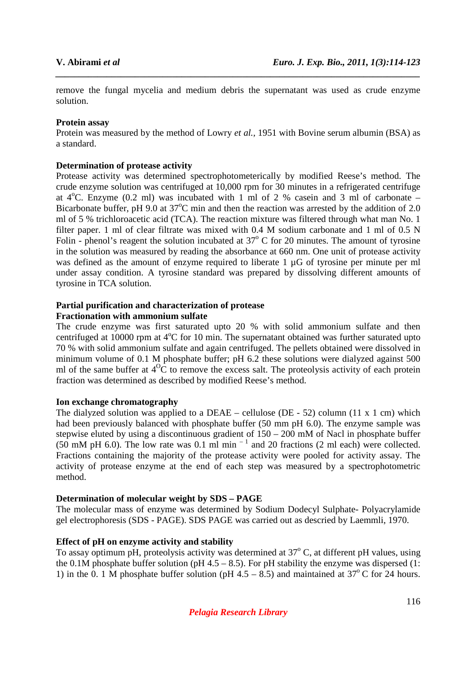remove the fungal mycelia and medium debris the supernatant was used as crude enzyme solution.

*\_\_\_\_\_\_\_\_\_\_\_\_\_\_\_\_\_\_\_\_\_\_\_\_\_\_\_\_\_\_\_\_\_\_\_\_\_\_\_\_\_\_\_\_\_\_\_\_\_\_\_\_\_\_\_\_\_\_\_\_\_\_\_\_\_\_\_\_\_\_\_\_\_\_\_\_\_\_*

## **Protein assay**

Protein was measured by the method of Lowry *et al.,* 1951 with Bovine serum albumin (BSA) as a standard.

# **Determination of protease activity**

Protease activity was determined spectrophotometerically by modified Reese's method. The crude enzyme solution was centrifuged at 10,000 rpm for 30 minutes in a refrigerated centrifuge at  $4^{\circ}$ C. Enzyme (0.2 ml) was incubated with 1 ml of 2 % casein and 3 ml of carbonate – Bicarbonate buffer, pH 9.0 at  $37^{\circ}$ C min and then the reaction was arrested by the addition of 2.0 ml of 5 % trichloroacetic acid (TCA). The reaction mixture was filtered through what man No. 1 filter paper. 1 ml of clear filtrate was mixed with 0.4 M sodium carbonate and 1 ml of 0.5 N Folin - phenol's reagent the solution incubated at  $37^{\circ}$  C for 20 minutes. The amount of tyrosine in the solution was measured by reading the absorbance at 660 nm. One unit of protease activity was defined as the amount of enzyme required to liberate 1  $\mu$ G of tyrosine per minute per ml under assay condition. A tyrosine standard was prepared by dissolving different amounts of tyrosine in TCA solution.

#### **Partial purification and characterization of protease Fractionation with ammonium sulfate**

The crude enzyme was first saturated upto 20 % with solid ammonium sulfate and then centrifuged at 10000 rpm at  $4^{\circ}$ C for 10 min. The supernatant obtained was further saturated upto 70 % with solid ammonium sulfate and again centrifuged. The pellets obtained were dissolved in minimum volume of 0.1 M phosphate buffer; pH 6.2 these solutions were dialyzed against 500 ml of the same buffer at  $4^{0}C$  to remove the excess salt. The proteolysis activity of each protein fraction was determined as described by modified Reese's method.

### **Ion exchange chromatography**

The dialyzed solution was applied to a DEAE – cellulose (DE - 52) column (11 x 1 cm) which had been previously balanced with phosphate buffer (50 mm pH 6.0). The enzyme sample was stepwise eluted by using a discontinuous gradient of 150 – 200 mM of Nacl in phosphate buffer  $(50 \text{ mM pH } 6.0)$ . The low rate was 0.1 ml min<sup>-1</sup> and 20 fractions (2 ml each) were collected. Fractions containing the majority of the protease activity were pooled for activity assay. The activity of protease enzyme at the end of each step was measured by a spectrophotometric method.

# **Determination of molecular weight by SDS – PAGE**

The molecular mass of enzyme was determined by Sodium Dodecyl Sulphate- Polyacrylamide gel electrophoresis (SDS - PAGE). SDS PAGE was carried out as descried by Laemmli, 1970.

# **Effect of pH on enzyme activity and stability**

To assay optimum pH, proteolysis activity was determined at 37°C, at different pH values, using the 0.1M phosphate buffer solution (pH  $4.5 - 8.5$ ). For pH stability the enzyme was dispersed (1: 1) in the 0. 1 M phosphate buffer solution (pH  $4.5 - 8.5$ ) and maintained at  $37^{\circ}$ C for 24 hours.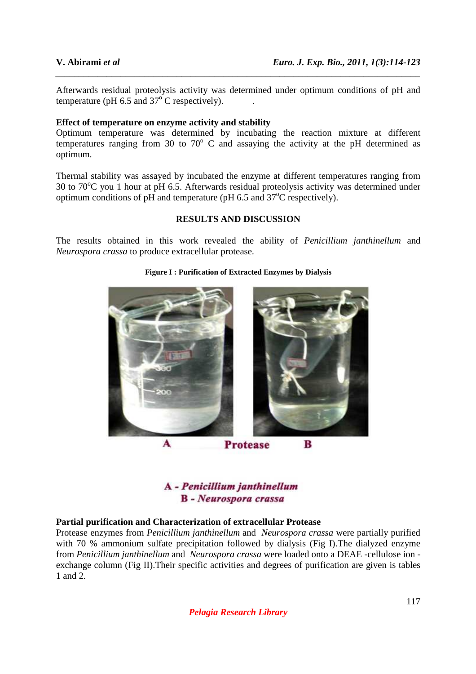Afterwards residual proteolysis activity was determined under optimum conditions of pH and temperature (pH  $6.5$  and  $37^{\circ}$ C respectively).

*\_\_\_\_\_\_\_\_\_\_\_\_\_\_\_\_\_\_\_\_\_\_\_\_\_\_\_\_\_\_\_\_\_\_\_\_\_\_\_\_\_\_\_\_\_\_\_\_\_\_\_\_\_\_\_\_\_\_\_\_\_\_\_\_\_\_\_\_\_\_\_\_\_\_\_\_\_\_*

### **Effect of temperature on enzyme activity and stability**

Optimum temperature was determined by incubating the reaction mixture at different temperatures ranging from 30 to  $70^{\circ}$  C and assaying the activity at the pH determined as optimum.

Thermal stability was assayed by incubated the enzyme at different temperatures ranging from 30 to  $70^{\circ}$ C you 1 hour at pH 6.5. Afterwards residual proteolysis activity was determined under optimum conditions of  $pH$  and temperature ( $pH$  6.5 and  $37^{\circ}C$  respectively).

# **RESULTS AND DISCUSSION**

The results obtained in this work revealed the ability of *Penicillium janthinellum* and *Neurospora crassa* to produce extracellular protease.

#### **Figure I : Purification of Extracted Enzymes by Dialysis**



**Protease** 

A - Penicillium janthinellum **B** - Neurospora crassa

### **Partial purification and Characterization of extracellular Protease**

Protease enzymes from *Penicillium janthinellum* and *Neurospora crassa* were partially purified with 70 % ammonium sulfate precipitation followed by dialysis (Fig I).The dialyzed enzyme from *Penicillium janthinellum* and *Neurospora crassa* were loaded onto a DEAE -cellulose ion exchange column (Fig II).Their specific activities and degrees of purification are given is tables 1 and 2.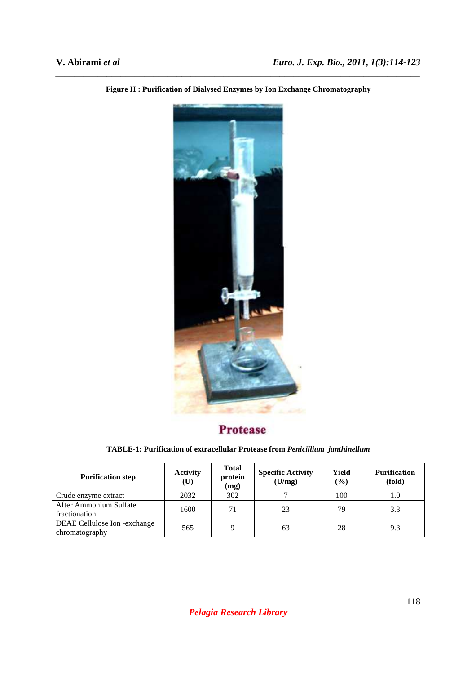

*\_\_\_\_\_\_\_\_\_\_\_\_\_\_\_\_\_\_\_\_\_\_\_\_\_\_\_\_\_\_\_\_\_\_\_\_\_\_\_\_\_\_\_\_\_\_\_\_\_\_\_\_\_\_\_\_\_\_\_\_\_\_\_\_\_\_\_\_\_\_\_\_\_\_\_\_\_\_* **Figure II : Purification of Dialysed Enzymes by Ion Exchange Chromatography** 

# **Protease**

**TABLE-1: Purification of extracellular Protease from** *Penicillium janthinellum* 

| <b>Purification step</b>                       | <b>Activity</b><br>$(\mathbf{U})$ | <b>Total</b><br>protein<br>(mg) | <b>Specific Activity</b><br>(U/mg) | Yield<br>$($ %) | <b>Purification</b><br>(fold) |
|------------------------------------------------|-----------------------------------|---------------------------------|------------------------------------|-----------------|-------------------------------|
| Crude enzyme extract                           | 2032                              | 302                             |                                    | 100             | 1.0                           |
| After Ammonium Sulfate<br>fractionation        | 1600                              | 71                              | 23                                 | 79              | 3.3                           |
| DEAE Cellulose Ion -exchange<br>chromatography | 565                               | Q                               | 63                                 | 28              | 9.3                           |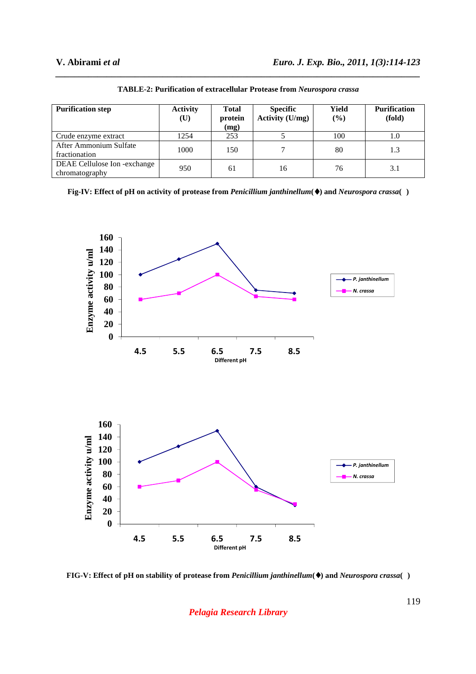| <b>Purification step</b>                       | <b>Activity</b><br>$(\mathbf{U})$ | <b>Total</b><br>protein<br>(mg) | <b>Specific</b><br><b>Activity (U/mg)</b> | Yield<br>$(\%)$ | <b>Purification</b><br>(fold) |
|------------------------------------------------|-----------------------------------|---------------------------------|-------------------------------------------|-----------------|-------------------------------|
| Crude enzyme extract                           | 1254                              | 253                             |                                           | 100             | 1.0                           |
| After Ammonium Sulfate<br>fractionation        | 1000                              | 150                             |                                           | 80              | 1.3                           |
| DEAE Cellulose Ion -exchange<br>chromatography | 950                               | 61                              | 16                                        | 76              | 3.1                           |

**TABLE-2: Purification of extracellular Protease from** *Neurospora crassa* 

*\_\_\_\_\_\_\_\_\_\_\_\_\_\_\_\_\_\_\_\_\_\_\_\_\_\_\_\_\_\_\_\_\_\_\_\_\_\_\_\_\_\_\_\_\_\_\_\_\_\_\_\_\_\_\_\_\_\_\_\_\_\_\_\_\_\_\_\_\_\_\_\_\_\_\_\_\_\_*

**Fig-IV: Effect of pH on activity of protease from** *Penicillium janthinellum***(**♦**) and** *Neurospora crassa***( )** 



**FIG-V: Effect of pH on stability of protease from** *Penicillium janthinellum***(**♦**) and** *Neurospora crassa***( )** 

*Pelagia Research Library*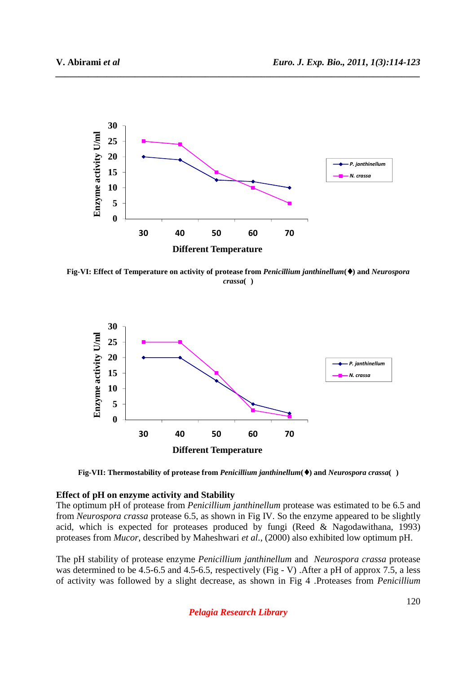

*\_\_\_\_\_\_\_\_\_\_\_\_\_\_\_\_\_\_\_\_\_\_\_\_\_\_\_\_\_\_\_\_\_\_\_\_\_\_\_\_\_\_\_\_\_\_\_\_\_\_\_\_\_\_\_\_\_\_\_\_\_\_\_\_\_\_\_\_\_\_\_\_\_\_\_\_\_\_*

**Fig-VI: Effect of Temperature on activity of protease from** *Penicillium janthinellum***(**♦**) and** *Neurospora crassa***( )** 



**Fig-VII: Thermostability of protease from** *Penicillium janthinellum***(**♦**) and** *Neurospora crassa***( )** 

#### **Effect of pH on enzyme activity and Stability**

The optimum pH of protease from *Penicillium janthinellum* protease was estimated to be 6.5 and from *Neurospora crassa* protease 6.5, as shown in Fig IV. So the enzyme appeared to be slightly acid, which is expected for proteases produced by fungi (Reed & Nagodawithana, 1993) proteases from *Mucor*, described by Maheshwari *et al*., (2000) also exhibited low optimum pH.

The pH stability of protease enzyme *Penicillium janthinellum* and *Neurospora crassa* protease was determined to be 4.5-6.5 and 4.5-6.5, respectively (Fig - V) . After a pH of approx 7.5, a less of activity was followed by a slight decrease, as shown in Fig 4 .Proteases from *Penicillium* 

*Pelagia Research Library*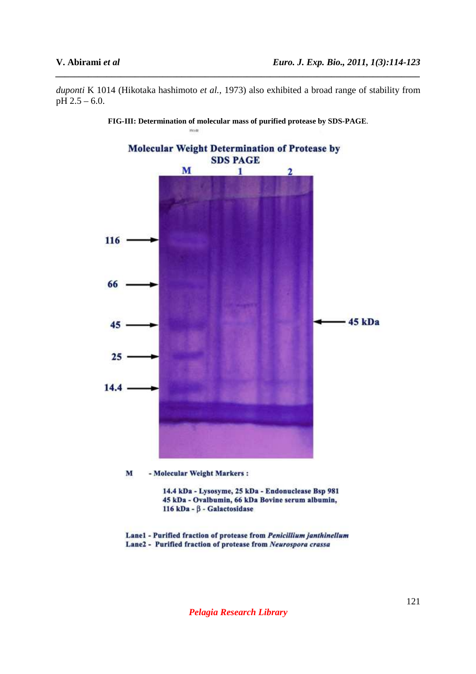*duponti* K 1014 (Hikotaka hashimoto *et al.,* 1973) also exhibited a broad range of stability from pH 2.5 – 6.0.

*\_\_\_\_\_\_\_\_\_\_\_\_\_\_\_\_\_\_\_\_\_\_\_\_\_\_\_\_\_\_\_\_\_\_\_\_\_\_\_\_\_\_\_\_\_\_\_\_\_\_\_\_\_\_\_\_\_\_\_\_\_\_\_\_\_\_\_\_\_\_\_\_\_\_\_\_\_\_*



**FIG-III: Determination of molecular mass of purified protease by SDS-PAGE**.

Lane1 - Purified fraction of protease from Penicillium janthinellum Lane2 - Purified fraction of protease from Neurospora crassa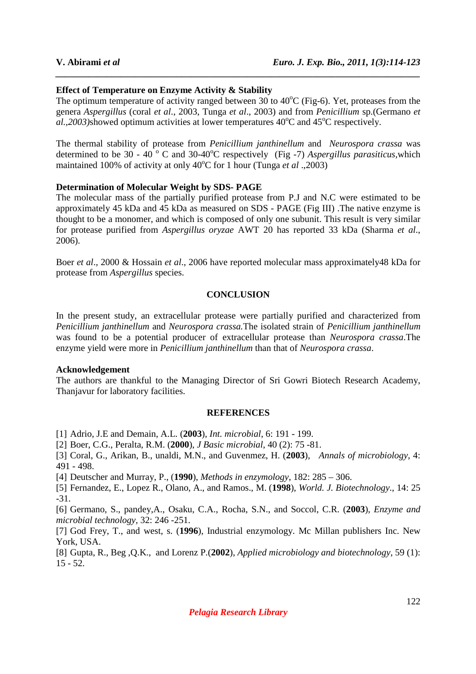#### **Effect of Temperature on Enzyme Activity & Stability**

The optimum temperature of activity ranged between 30 to  $40^{\circ}$ C (Fig-6). Yet, proteases from the genera *Aspergillus* (coral *et al*., 2003, Tunga *et al*., 2003) and from *Penicillium* sp.(Germano *et*   $aL$ , 2003)showed optimum activities at lower temperatures  $40^{\circ}$ C and  $45^{\circ}$ C respectively.

*\_\_\_\_\_\_\_\_\_\_\_\_\_\_\_\_\_\_\_\_\_\_\_\_\_\_\_\_\_\_\_\_\_\_\_\_\_\_\_\_\_\_\_\_\_\_\_\_\_\_\_\_\_\_\_\_\_\_\_\_\_\_\_\_\_\_\_\_\_\_\_\_\_\_\_\_\_\_*

The thermal stability of protease from *Penicillium janthinellum* and *Neurospora crassa* was determined to be 30 - 40<sup>°</sup> C and 30-40<sup>°</sup>C respectively (Fig -7) *Aspergillus parasiticus*, which maintained 100% of activity at only 40<sup>o</sup>C for 1 hour (Tunga *et al* .,2003)

#### **Determination of Molecular Weight by SDS- PAGE**

The molecular mass of the partially purified protease from P.J and N.C were estimated to be approximately 45 kDa and 45 kDa as measured on SDS - PAGE (Fig III) .The native enzyme is thought to be a monomer, and which is composed of only one subunit. This result is very similar for protease purified from *Aspergillus oryzae* AWT 20 has reported 33 kDa (Sharma *et al*., 2006).

Boer *et al*., 2000 & Hossain *et al*., 2006 have reported molecular mass approximately48 kDa for protease from *Aspergillus* species.

#### **CONCLUSION**

In the present study, an extracellular protease were partially purified and characterized from *Penicillium janthinellum* and *Neurospora crassa.*The isolated strain of *Penicillium janthinellum* was found to be a potential producer of extracellular protease than *Neurospora crassa*.The enzyme yield were more in *Penicillium janthinellum* than that of *Neurospora crassa*.

#### **Acknowledgement**

The authors are thankful to the Managing Director of Sri Gowri Biotech Research Academy, Thanjavur for laboratory facilities.

#### **REFERENCES**

[1] Adrio, J.E and Demain, A.L. (**2003**), *Int. microbial*, 6: 191 - 199.

[2] Boer, C.G., Peralta, R.M. (**2000**), *J Basic microbial*, 40 (2): 75 -81.

[3] Coral, G., Arikan, B., unaldi, M.N., and Guvenmez, H. (**2003**), *Annals of microbiology*, 4: 491 - 498.

[4] Deutscher and Murray, P., (**1990**), *Methods in enzymology*, 182: 285 – 306.

[5] Fernandez, E., Lopez R., Olano, A., and Ramos., M. (**1998**), *World. J. Biotechnology*., 14: 25 -31.

[6] Germano, S., pandey,A., Osaku, C.A., Rocha, S.N., and Soccol, C.R. (**2003**), *Enzyme and microbial technology,* 32: 246 -251.

[7] God Frey, T., and west, s. (**1996**), Industrial enzymology. Mc Millan publishers Inc. New York, USA.

[8] Gupta, R., Beg ,Q.K., and Lorenz P.(**2002**), *Applied microbiology and biotechnology*, 59 (1): 15 - 52.